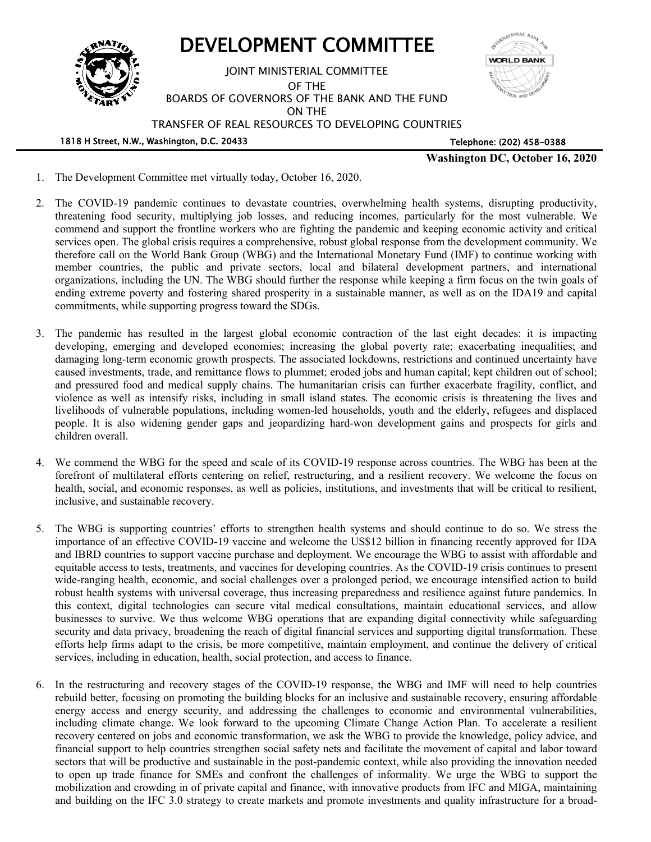

- 1. The Development Committee met virtually today, October 16, 2020.
- 2. The COVID-19 pandemic continues to devastate countries, overwhelming health systems, disrupting productivity, threatening food security, multiplying job losses, and reducing incomes, particularly for the most vulnerable. We commend and support the frontline workers who are fighting the pandemic and keeping economic activity and critical services open. The global crisis requires a comprehensive, robust global response from the development community. We therefore call on the World Bank Group (WBG) and the International Monetary Fund (IMF) to continue working with member countries, the public and private sectors, local and bilateral development partners, and international organizations, including the UN. The WBG should further the response while keeping a firm focus on the twin goals of ending extreme poverty and fostering shared prosperity in a sustainable manner, as well as on the IDA19 and capital commitments, while supporting progress toward the SDGs.
- 3. The pandemic has resulted in the largest global economic contraction of the last eight decades: it is impacting developing, emerging and developed economies; increasing the global poverty rate; exacerbating inequalities; and damaging long-term economic growth prospects. The associated lockdowns, restrictions and continued uncertainty have caused investments, trade, and remittance flows to plummet; eroded jobs and human capital; kept children out of school; and pressured food and medical supply chains. The humanitarian crisis can further exacerbate fragility, conflict, and violence as well as intensify risks, including in small island states. The economic crisis is threatening the lives and livelihoods of vulnerable populations, including women-led households, youth and the elderly, refugees and displaced people. It is also widening gender gaps and jeopardizing hard-won development gains and prospects for girls and children overall.
- 4. We commend the WBG for the speed and scale of its COVID-19 response across countries. The WBG has been at the forefront of multilateral efforts centering on relief, restructuring, and a resilient recovery. We welcome the focus on health, social, and economic responses, as well as policies, institutions, and investments that will be critical to resilient, inclusive, and sustainable recovery.
- 5. The WBG is supporting countries' efforts to strengthen health systems and should continue to do so. We stress the importance of an effective COVID-19 vaccine and welcome the US\$12 billion in financing recently approved for IDA and IBRD countries to support vaccine purchase and deployment. We encourage the WBG to assist with affordable and equitable access to tests, treatments, and vaccines for developing countries. As the COVID-19 crisis continues to present wide-ranging health, economic, and social challenges over a prolonged period, we encourage intensified action to build robust health systems with universal coverage, thus increasing preparedness and resilience against future pandemics. In this context, digital technologies can secure vital medical consultations, maintain educational services, and allow businesses to survive. We thus welcome WBG operations that are expanding digital connectivity while safeguarding security and data privacy, broadening the reach of digital financial services and supporting digital transformation. These efforts help firms adapt to the crisis, be more competitive, maintain employment, and continue the delivery of critical services, including in education, health, social protection, and access to finance.
- 6. In the restructuring and recovery stages of the COVID-19 response, the WBG and IMF will need to help countries rebuild better, focusing on promoting the building blocks for an inclusive and sustainable recovery, ensuring affordable energy access and energy security, and addressing the challenges to economic and environmental vulnerabilities, including climate change. We look forward to the upcoming Climate Change Action Plan. To accelerate a resilient recovery centered on jobs and economic transformation, we ask the WBG to provide the knowledge, policy advice, and financial support to help countries strengthen social safety nets and facilitate the movement of capital and labor toward sectors that will be productive and sustainable in the post-pandemic context, while also providing the innovation needed to open up trade finance for SMEs and confront the challenges of informality. We urge the WBG to support the mobilization and crowding in of private capital and finance, with innovative products from IFC and MIGA, maintaining and building on the IFC 3.0 strategy to create markets and promote investments and quality infrastructure for a broad-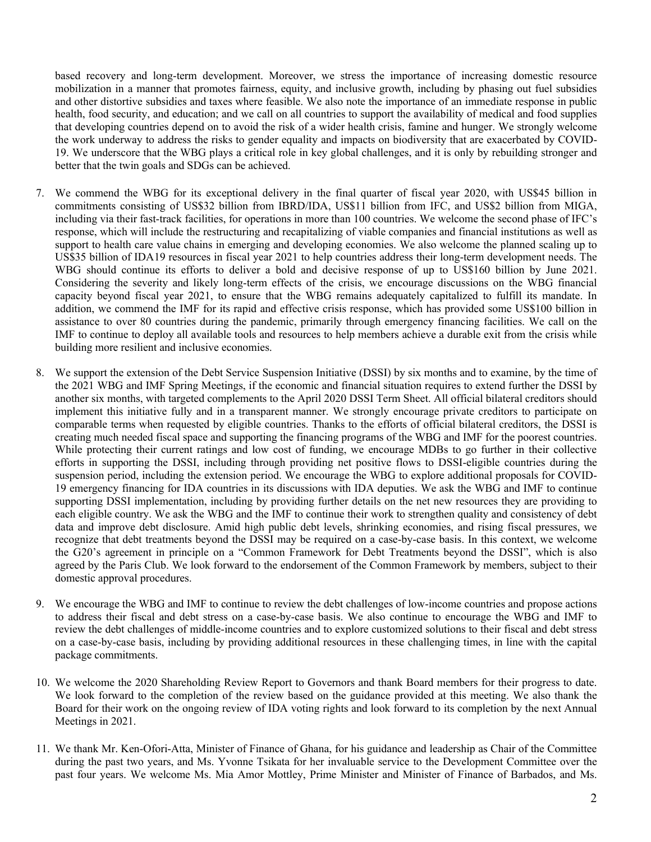based recovery and long-term development. Moreover, we stress the importance of increasing domestic resource mobilization in a manner that promotes fairness, equity, and inclusive growth, including by phasing out fuel subsidies and other distortive subsidies and taxes where feasible. We also note the importance of an immediate response in public health, food security, and education; and we call on all countries to support the availability of medical and food supplies that developing countries depend on to avoid the risk of a wider health crisis, famine and hunger. We strongly welcome the work underway to address the risks to gender equality and impacts on biodiversity that are exacerbated by COVID-19. We underscore that the WBG plays a critical role in key global challenges, and it is only by rebuilding stronger and better that the twin goals and SDGs can be achieved.

- 7. We commend the WBG for its exceptional delivery in the final quarter of fiscal year 2020, with US\$45 billion in commitments consisting of US\$32 billion from IBRD/IDA, US\$11 billion from IFC, and US\$2 billion from MIGA, including via their fast-track facilities, for operations in more than 100 countries. We welcome the second phase of IFC's response, which will include the restructuring and recapitalizing of viable companies and financial institutions as well as support to health care value chains in emerging and developing economies. We also welcome the planned scaling up to US\$35 billion of IDA19 resources in fiscal year 2021 to help countries address their long-term development needs. The WBG should continue its efforts to deliver a bold and decisive response of up to US\$160 billion by June 2021. Considering the severity and likely long-term effects of the crisis, we encourage discussions on the WBG financial capacity beyond fiscal year 2021, to ensure that the WBG remains adequately capitalized to fulfill its mandate. In addition, we commend the IMF for its rapid and effective crisis response, which has provided some US\$100 billion in assistance to over 80 countries during the pandemic, primarily through emergency financing facilities. We call on the IMF to continue to deploy all available tools and resources to help members achieve a durable exit from the crisis while building more resilient and inclusive economies.
- 8. We support the extension of the Debt Service Suspension Initiative (DSSI) by six months and to examine, by the time of the 2021 WBG and IMF Spring Meetings, if the economic and financial situation requires to extend further the DSSI by another six months, with targeted complements to the April 2020 DSSI Term Sheet. All official bilateral creditors should implement this initiative fully and in a transparent manner. We strongly encourage private creditors to participate on comparable terms when requested by eligible countries. Thanks to the efforts of official bilateral creditors, the DSSI is creating much needed fiscal space and supporting the financing programs of the WBG and IMF for the poorest countries. While protecting their current ratings and low cost of funding, we encourage MDBs to go further in their collective efforts in supporting the DSSI, including through providing net positive flows to DSSI-eligible countries during the suspension period, including the extension period. We encourage the WBG to explore additional proposals for COVID-19 emergency financing for IDA countries in its discussions with IDA deputies. We ask the WBG and IMF to continue supporting DSSI implementation, including by providing further details on the net new resources they are providing to each eligible country. We ask the WBG and the IMF to continue their work to strengthen quality and consistency of debt data and improve debt disclosure. Amid high public debt levels, shrinking economies, and rising fiscal pressures, we recognize that debt treatments beyond the DSSI may be required on a case-by-case basis. In this context, we welcome the G20's agreement in principle on a "Common Framework for Debt Treatments beyond the DSSI", which is also agreed by the Paris Club. We look forward to the endorsement of the Common Framework by members, subject to their domestic approval procedures.
- 9. We encourage the WBG and IMF to continue to review the debt challenges of low-income countries and propose actions to address their fiscal and debt stress on a case-by-case basis. We also continue to encourage the WBG and IMF to review the debt challenges of middle-income countries and to explore customized solutions to their fiscal and debt stress on a case-by-case basis, including by providing additional resources in these challenging times, in line with the capital package commitments.
- 10. We welcome the 2020 Shareholding Review Report to Governors and thank Board members for their progress to date. We look forward to the completion of the review based on the guidance provided at this meeting. We also thank the Board for their work on the ongoing review of IDA voting rights and look forward to its completion by the next Annual Meetings in 2021.
- 11. We thank Mr. Ken-Ofori-Atta, Minister of Finance of Ghana, for his guidance and leadership as Chair of the Committee during the past two years, and Ms. Yvonne Tsikata for her invaluable service to the Development Committee over the past four years. We welcome Ms. Mia Amor Mottley, Prime Minister and Minister of Finance of Barbados, and Ms.